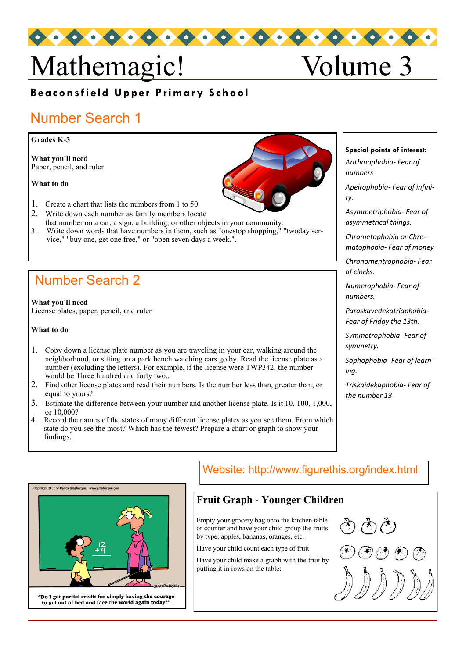# Mathemagic! Volume 3

### **Beaconsfield Upper Primary School**

# Number Search 1

#### **Grades K-3**

**What you'll need**  Paper, pencil, and ruler

**What to do**

- 1. Create a chart that lists the numbers from 1 to 50.
- 2. Write down each number as family members locate
- that number on a car, a sign, a building, or other objects in your community. 3. Write down words that have numbers in them, such as "onestop shopping," "twoday service," "buy one, get one free," or "open seven days a week.".

## Number Search 2

**What you'll need**  License plates, paper, pencil, and ruler

**What to do**

- 1. Copy down a license plate number as you are traveling in your car, walking around the neighborhood, or sitting on a park bench watching cars go by. Read the license plate as a number (excluding the letters). For example, if the license were TWP342, the number would be Three hundred and forty two..
- 2. Find other license plates and read their numbers. Is the number less than, greater than, or equal to yours?
- 3. Estimate the difference between your number and another license plate. Is it 10, 100, 1,000, or 10,000?
- 4. Record the names of the states of many different license plates as you see them. From which state do you see the most? Which has the fewest? Prepare a chart or graph to show your findings.

**Special points of interest:**

*Arithmophobia- Fear of numbers* 

*Apeirophobia- Fear of infinity.*

*Asymmetriphobia- Fear of asymmetrical things.* 

*Chrometophobia or Chrematophobia- Fear of money*

*Chronomentrophobia- Fear of clocks.*

*Numerophobia- Fear of numbers.*

*Paraskavedekatriaphobia-Fear of Friday the 13th.*

*Symmetrophobia- Fear of symmetry.*

*Sophophobia- Fear of learning.*

*Triskaidekaphobia- Fear of the number 13*

# **Fruit Graph - Younger Children** Empty your grocery bag onto the kitchen table or counter and have your child group the fruits by type: apples, bananas, oranges, etc.

Have your child count each type of fruit

Have your child make a graph with the fruit by putting it in rows on the table:

Website: http://www.figurethis.org/index.html







to get out of bed and face the world again today?"